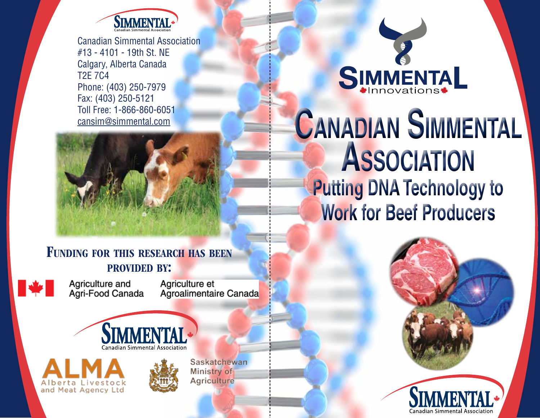

Canadian Simmental Association #13 - 4101 - 19th St. NE Calgary, Alberta Canada T2E 7C4 Phone: (403) 250-7979 Fax: (403) 250-5121 Toll Free: 1-866-860-6051 cansim@simmental.com



### FUNDING FOR THIS RESEARCH HAS BEEN provided by:



Agriculture and<br>Agri-Food Canada

Agriculture et Agroalimentaire Canada







Saskatchewan Ministry of **Agriculture** 

# **SIMMENTAL**

# **Canadian Simmental Association Putting DNA Technology to Work for Beef Producers**